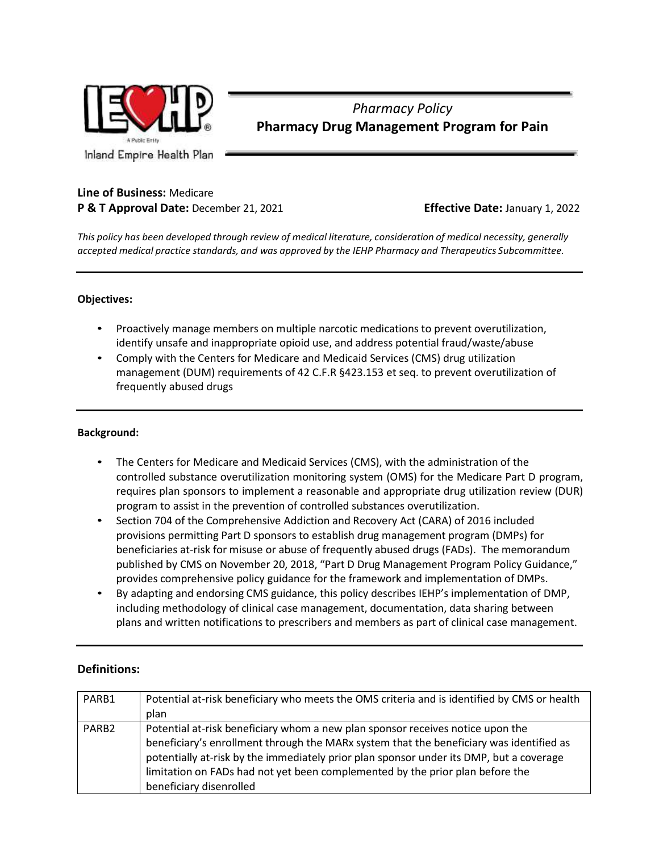

# *Pharmacy Policy* **Pharmacy Drug Management Program for Pain**

# **Line of Business:** Medicare

# **P & T Approval Date:** December 21, 2021 **Effective Date:** January 1, 2022

*This policy has been developed through review of medical literature, consideration of medical necessity, generally accepted medical practice standards, and was approved by the IEHP Pharmacy and Therapeutics Subcommittee.*

# **Objectives:**

- Proactively manage members on multiple narcotic medications to prevent overutilization, identify unsafe and inappropriate opioid use, and address potential fraud/waste/abuse
- Comply with the Centers for Medicare and Medicaid Services (CMS) drug utilization management (DUM) requirements of 42 C.F.R §423.153 et seq. to prevent overutilization of frequently abused drugs

# **Background:**

- The Centers for Medicare and Medicaid Services (CMS), with the administration of the controlled substance overutilization monitoring system (OMS) for the Medicare Part D program, requires plan sponsors to implement a reasonable and appropriate drug utilization review (DUR) program to assist in the prevention of controlled substances overutilization.
- Section 704 of the Comprehensive Addiction and Recovery Act (CARA) of 2016 included provisions permitting Part D sponsors to establish drug management program (DMPs) for beneficiaries at-risk for misuse or abuse of frequently abused drugs (FADs). The memorandum published by CMS on November 20, 2018, "Part D Drug Management Program Policy Guidance," provides comprehensive policy guidance for the framework and implementation of DMPs.
- By adapting and endorsing CMS guidance, this policy describes IEHP's implementation of DMP, including methodology of clinical case management, documentation, data sharing between plans and written notifications to prescribers and members as part of clinical case management.

# **Definitions:**

| PARB1             | Potential at-risk beneficiary who meets the OMS criteria and is identified by CMS or health |
|-------------------|---------------------------------------------------------------------------------------------|
|                   | plan                                                                                        |
| PARB <sub>2</sub> | Potential at-risk beneficiary whom a new plan sponsor receives notice upon the              |
|                   | beneficiary's enrollment through the MARx system that the beneficiary was identified as     |
|                   | potentially at-risk by the immediately prior plan sponsor under its DMP, but a coverage     |
|                   | limitation on FADs had not yet been complemented by the prior plan before the               |
|                   | beneficiary disenrolled                                                                     |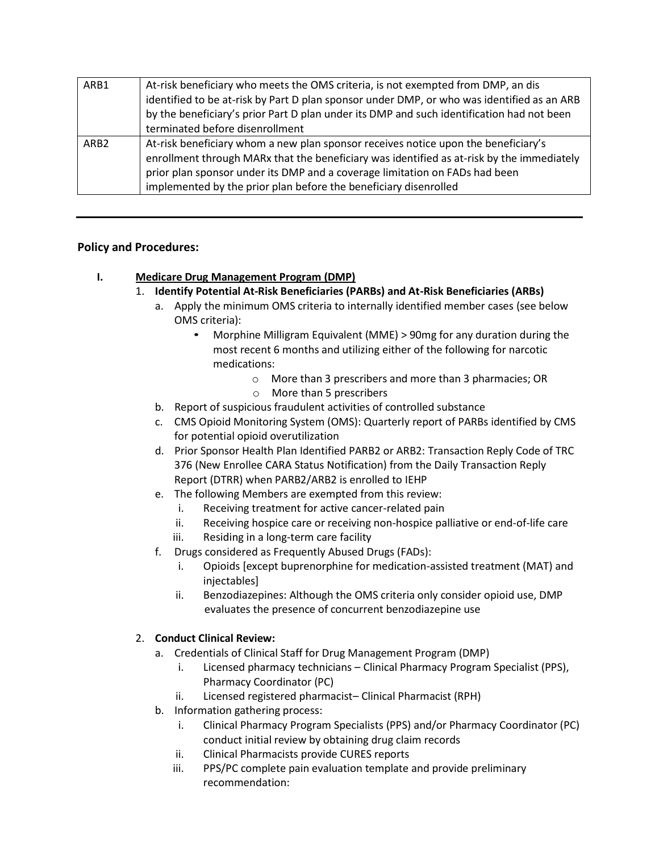| ARB1             | At-risk beneficiary who meets the OMS criteria, is not exempted from DMP, an dis           |  |  |
|------------------|--------------------------------------------------------------------------------------------|--|--|
|                  | identified to be at-risk by Part D plan sponsor under DMP, or who was identified as an ARB |  |  |
|                  | by the beneficiary's prior Part D plan under its DMP and such identification had not been  |  |  |
|                  | terminated before disenrollment                                                            |  |  |
| ARB <sub>2</sub> | At-risk beneficiary whom a new plan sponsor receives notice upon the beneficiary's         |  |  |
|                  | enrollment through MARx that the beneficiary was identified as at-risk by the immediately  |  |  |
|                  | prior plan sponsor under its DMP and a coverage limitation on FADs had been                |  |  |
|                  | implemented by the prior plan before the beneficiary disenrolled                           |  |  |

# **Policy and Procedures:**

# **I. Medicare Drug Management Program (DMP)**

- 1. **Identify Potential At-Risk Beneficiaries (PARBs) and At-Risk Beneficiaries (ARBs)**
	- a. Apply the minimum OMS criteria to internally identified member cases (see below OMS criteria):
		- Morphine Milligram Equivalent (MME) > 90mg for any duration during the most recent 6 months and utilizing either of the following for narcotic medications:
			- o More than 3 prescribers and more than 3 pharmacies; OR
			- o More than 5 prescribers
	- b. Report of suspicious fraudulent activities of controlled substance
	- c. CMS Opioid Monitoring System (OMS): Quarterly report of PARBs identified by CMS for potential opioid overutilization
	- d. Prior Sponsor Health Plan Identified PARB2 or ARB2: Transaction Reply Code of TRC 376 (New Enrollee CARA Status Notification) from the Daily Transaction Reply Report (DTRR) when PARB2/ARB2 is enrolled to IEHP
	- e. The following Members are exempted from this review:
		- i. Receiving treatment for active cancer-related pain
		- ii. Receiving hospice care or receiving non-hospice palliative or end-of-life care
		- iii. Residing in a long-term care facility
	- f. Drugs considered as Frequently Abused Drugs (FADs):
		- i. Opioids [except buprenorphine for medication-assisted treatment (MAT) and injectables]
		- ii. Benzodiazepines: Although the OMS criteria only consider opioid use, DMP evaluates the presence of concurrent benzodiazepine use

# 2. **Conduct Clinical Review:**

- a. Credentials of Clinical Staff for Drug Management Program (DMP)
	- i. Licensed pharmacy technicians Clinical Pharmacy Program Specialist (PPS), Pharmacy Coordinator (PC)
	- ii. Licensed registered pharmacist– Clinical Pharmacist (RPH)
- b. Information gathering process:
	- i. Clinical Pharmacy Program Specialists (PPS) and/or Pharmacy Coordinator (PC) conduct initial review by obtaining drug claim records
	- ii. Clinical Pharmacists provide CURES reports
	- iii. PPS/PC complete pain evaluation template and provide preliminary recommendation: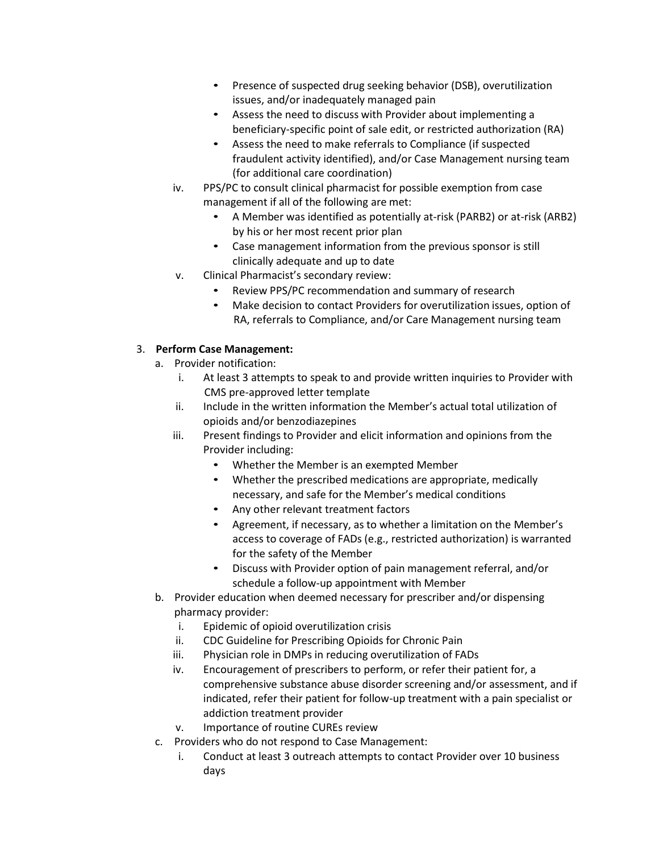- Presence of suspected drug seeking behavior (DSB), overutilization issues, and/or inadequately managed pain
- Assess the need to discuss with Provider about implementing a beneficiary-specific point of sale edit, or restricted authorization (RA)
- Assess the need to make referrals to Compliance (if suspected fraudulent activity identified), and/or Case Management nursing team (for additional care coordination)
- iv. PPS/PC to consult clinical pharmacist for possible exemption from case management if all of the following are met:
	- A Member was identified as potentially at-risk (PARB2) or at-risk (ARB2) by his or her most recent prior plan
	- Case management information from the previous sponsor is still clinically adequate and up to date
- v. Clinical Pharmacist's secondary review:
	- Review PPS/PC recommendation and summary of research
	- Make decision to contact Providers for overutilization issues, option of RA, referrals to Compliance, and/or Care Management nursing team

# 3. **Perform Case Management:**

- a. Provider notification:
	- i. At least 3 attempts to speak to and provide written inquiries to Provider with CMS pre-approved letter template
	- ii. Include in the written information the Member's actual total utilization of opioids and/or benzodiazepines
	- iii. Present findings to Provider and elicit information and opinions from the Provider including:
		- Whether the Member is an exempted Member
		- Whether the prescribed medications are appropriate, medically necessary, and safe for the Member's medical conditions
		- Any other relevant treatment factors
		- Agreement, if necessary, as to whether a limitation on the Member's access to coverage of FADs (e.g., restricted authorization) is warranted for the safety of the Member
		- Discuss with Provider option of pain management referral, and/or schedule a follow-up appointment with Member
- b. Provider education when deemed necessary for prescriber and/or dispensing pharmacy provider:
	- i. Epidemic of opioid overutilization crisis
	- ii. CDC Guideline for Prescribing Opioids for Chronic Pain
	- iii. Physician role in DMPs in reducing overutilization of FADs
	- iv. Encouragement of prescribers to perform, or refer their patient for, a comprehensive substance abuse disorder screening and/or assessment, and if indicated, refer their patient for follow-up treatment with a pain specialist or addiction treatment provider
	- v. Importance of routine CUREs review
- c. Providers who do not respond to Case Management:
	- i. Conduct at least 3 outreach attempts to contact Provider over 10 business days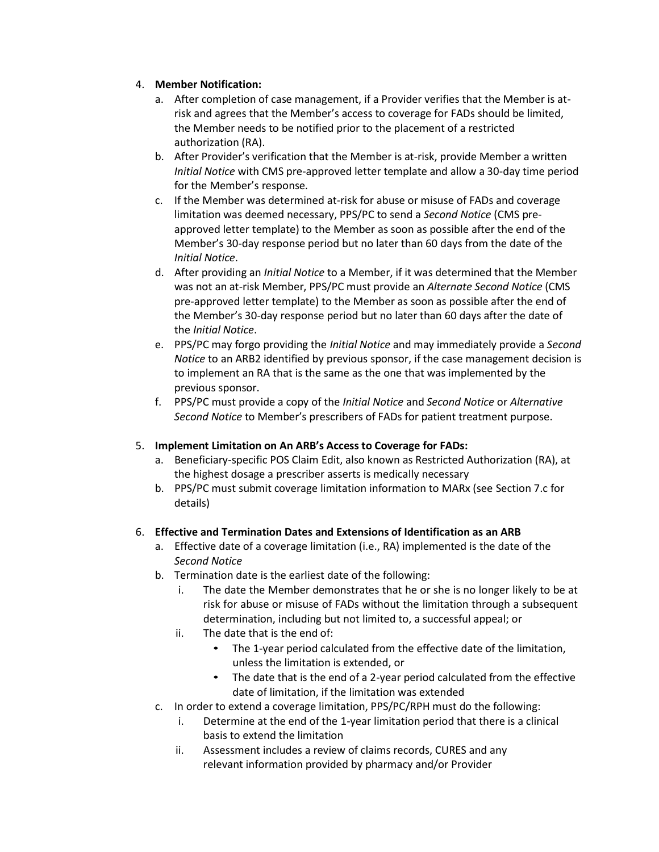# 4. **Member Notification:**

- a. After completion of case management, if a Provider verifies that the Member is atrisk and agrees that the Member's access to coverage for FADs should be limited, the Member needs to be notified prior to the placement of a restricted authorization (RA).
- b. After Provider's verification that the Member is at-risk, provide Member a written *Initial Notice* with CMS pre-approved letter template and allow a 30-day time period for the Member's response.
- c. If the Member was determined at-risk for abuse or misuse of FADs and coverage limitation was deemed necessary, PPS/PC to send a *Second Notice* (CMS preapproved letter template) to the Member as soon as possible after the end of the Member's 30-day response period but no later than 60 days from the date of the *Initial Notice*.
- d. After providing an *Initial Notice* to a Member, if it was determined that the Member was not an at-risk Member, PPS/PC must provide an *Alternate Second Notice* (CMS pre-approved letter template) to the Member as soon as possible after the end of the Member's 30-day response period but no later than 60 days after the date of the *Initial Notice*.
- e. PPS/PC may forgo providing the *Initial Notice* and may immediately provide a *Second Notice* to an ARB2 identified by previous sponsor, if the case management decision is to implement an RA that is the same as the one that was implemented by the previous sponsor.
- f. PPS/PC must provide a copy of the *Initial Notice* and *Second Notice* or *Alternative Second Notice* to Member's prescribers of FADs for patient treatment purpose.

# 5. **Implement Limitation on An ARB's Access to Coverage for FADs:**

- a. Beneficiary-specific POS Claim Edit, also known as Restricted Authorization (RA), at the highest dosage a prescriber asserts is medically necessary
- b. PPS/PC must submit coverage limitation information to MARx (see Section 7.c for details)

# 6. **Effective and Termination Dates and Extensions of Identification as an ARB**

- a. Effective date of a coverage limitation (i.e., RA) implemented is the date of the *Second Notice*
- b. Termination date is the earliest date of the following:
	- i. The date the Member demonstrates that he or she is no longer likely to be at risk for abuse or misuse of FADs without the limitation through a subsequent determination, including but not limited to, a successful appeal; or
	- ii. The date that is the end of:
		- The 1-year period calculated from the effective date of the limitation, unless the limitation is extended, or
		- The date that is the end of a 2-year period calculated from the effective date of limitation, if the limitation was extended
- c. In order to extend a coverage limitation, PPS/PC/RPH must do the following:
	- i. Determine at the end of the 1-year limitation period that there is a clinical basis to extend the limitation
	- ii. Assessment includes a review of claims records, CURES and any relevant information provided by pharmacy and/or Provider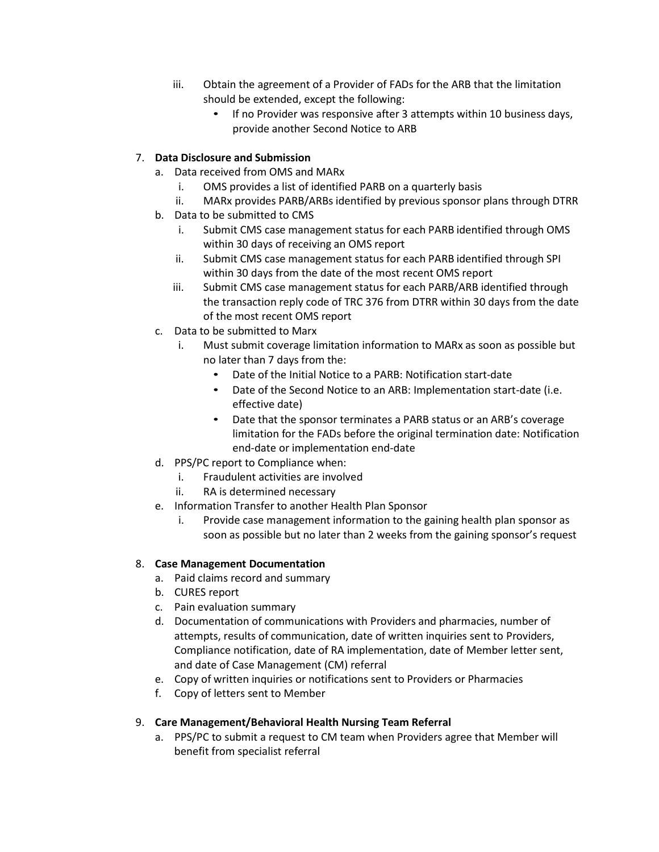- iii. Obtain the agreement of a Provider of FADs for the ARB that the limitation should be extended, except the following:
	- If no Provider was responsive after 3 attempts within 10 business days, provide another Second Notice to ARB

# 7. **Data Disclosure and Submission**

- a. Data received from OMS and MARx
	- i. OMS provides a list of identified PARB on a quarterly basis
	- ii. MARx provides PARB/ARBs identified by previous sponsor plans through DTRR
- b. Data to be submitted to CMS
	- i. Submit CMS case management status for each PARB identified through OMS within 30 days of receiving an OMS report
	- ii. Submit CMS case management status for each PARB identified through SPI within 30 days from the date of the most recent OMS report
	- iii. Submit CMS case management status for each PARB/ARB identified through the transaction reply code of TRC 376 from DTRR within 30 days from the date of the most recent OMS report
- c. Data to be submitted to Marx
	- i. Must submit coverage limitation information to MARx as soon as possible but no later than 7 days from the:
		- Date of the Initial Notice to a PARB: Notification start-date
		- Date of the Second Notice to an ARB: Implementation start-date (i.e. effective date)
		- Date that the sponsor terminates a PARB status or an ARB's coverage limitation for the FADs before the original termination date: Notification end-date or implementation end-date
- d. PPS/PC report to Compliance when:
	- i. Fraudulent activities are involved
	- ii. RA is determined necessary
- e. Information Transfer to another Health Plan Sponsor
	- i. Provide case management information to the gaining health plan sponsor as soon as possible but no later than 2 weeks from the gaining sponsor's request

# 8. **Case Management Documentation**

- a. Paid claims record and summary
- b. CURES report
- c. Pain evaluation summary
- d. Documentation of communications with Providers and pharmacies, number of attempts, results of communication, date of written inquiries sent to Providers, Compliance notification, date of RA implementation, date of Member letter sent, and date of Case Management (CM) referral
- e. Copy of written inquiries or notifications sent to Providers or Pharmacies
- f. Copy of letters sent to Member

# 9. **Care Management/Behavioral Health Nursing Team Referral**

a. PPS/PC to submit a request to CM team when Providers agree that Member will benefit from specialist referral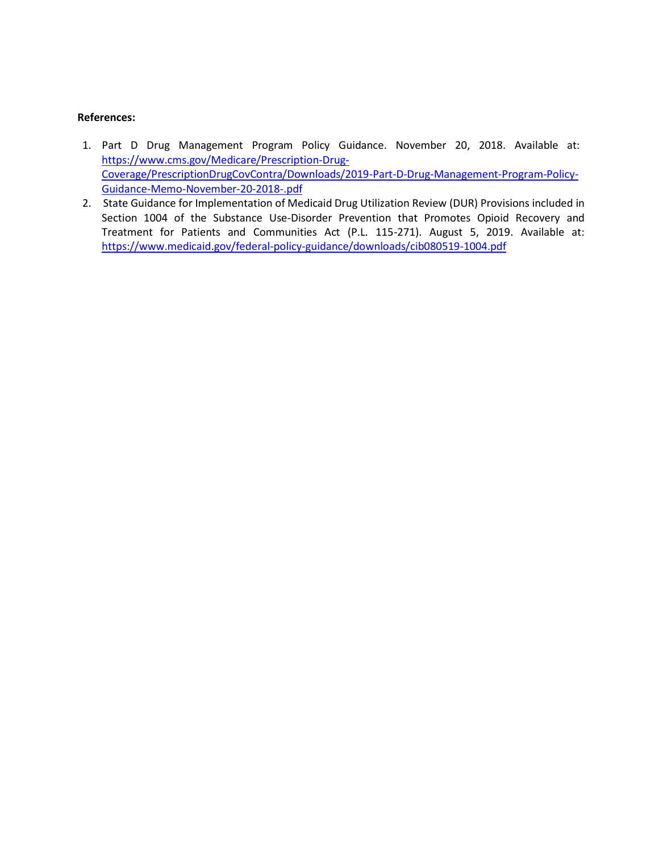#### **References:**

- 1. Part D Drug Management Program Policy Guidance. November 20, 2018. Available at: [https://www.cms.gov/Medicare/Prescription-Drug-](https://www.cms.gov/Medicare/Prescription-Drug-Coverage/PrescriptionDrugCovContra/Downloads/2019-Part-D-Drug-Management-Program-Policy-Guidance-Memo-November-20-2018-.pdf)[Coverage/PrescriptionDrugCovContra/Downloads/2019-Part-D-Drug-Management-Program-Policy-](https://www.cms.gov/Medicare/Prescription-Drug-Coverage/PrescriptionDrugCovContra/Downloads/2019-Part-D-Drug-Management-Program-Policy-Guidance-Memo-November-20-2018-.pdf)[Guidance-Memo-November-20-2018-.pdf](https://www.cms.gov/Medicare/Prescription-Drug-Coverage/PrescriptionDrugCovContra/Downloads/2019-Part-D-Drug-Management-Program-Policy-Guidance-Memo-November-20-2018-.pdf)
- 2. State Guidance for Implementation of Medicaid Drug Utilization Review (DUR) Provisions included in Section 1004 of the Substance Use-Disorder Prevention that Promotes Opioid Recovery and Treatment for Patients and Communities Act (P.L. 115-271). August 5, 2019. Available at: <https://www.medicaid.gov/federal-policy-guidance/downloads/cib080519-1004.pdf>